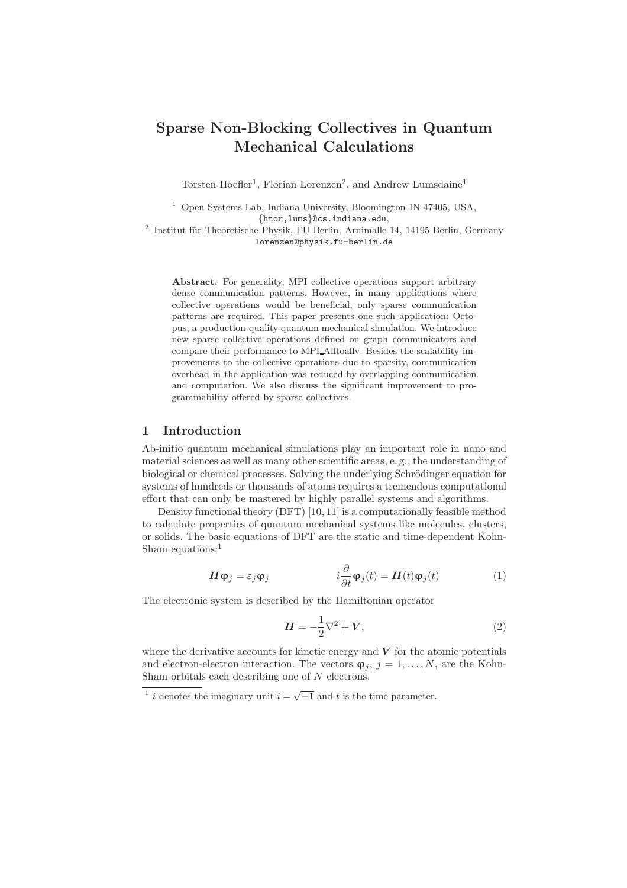# Sparse Non-Blocking Collectives in Quantum Mechanical Calculations

Torsten Hoefler<sup>1</sup>, Florian Lorenzen<sup>2</sup>, and Andrew Lumsdaine<sup>1</sup>

<sup>1</sup> Open Systems Lab, Indiana University, Bloomington IN 47405, USA, {htor,lums}@cs.indiana.edu,

 $^2$ Institut für Theoretische Physik, FU Berlin, Arnimalle 14, 14195 Berlin, Germany lorenzen@physik.fu-berlin.de

Abstract. For generality, MPI collective operations support arbitrary dense communication patterns. However, in many applications where collective operations would be beneficial, only sparse communication patterns are required. This paper presents one such application: Octopus, a production-quality quantum mechanical simulation. We introduce new sparse collective operations defined on graph communicators and compare their performance to MPI Alltoallv. Besides the scalability improvements to the collective operations due to sparsity, communication overhead in the application was reduced by overlapping communication and computation. We also discuss the significant improvement to programmability offered by sparse collectives.

## 1 Introduction

Ab-initio quantum mechanical simulations play an important role in nano and material sciences as well as many other scientific areas, e. g., the understanding of biological or chemical processes. Solving the underlying Schrödinger equation for systems of hundreds or thousands of atoms requires a tremendous computational effort that can only be mastered by highly parallel systems and algorithms.

Density functional theory (DFT) [10, 11] is a computationally feasible method to calculate properties of quantum mechanical systems like molecules, clusters, or solids. The basic equations of DFT are the static and time-dependent Kohn-Sham equations:<sup>1</sup>

$$
\boldsymbol{H}\boldsymbol{\varphi}_j = \varepsilon_j \boldsymbol{\varphi}_j \qquad \qquad i \frac{\partial}{\partial t} \boldsymbol{\varphi}_j(t) = \boldsymbol{H}(t) \boldsymbol{\varphi}_j(t) \qquad (1)
$$

The electronic system is described by the Hamiltonian operator

$$
\mathbf{H} = -\frac{1}{2}\nabla^2 + \mathbf{V},\tag{2}
$$

where the derivative accounts for kinetic energy and  $V$  for the atomic potentials and electron-electron interaction. The vectors  $\boldsymbol{\varphi}_i$ ,  $j = 1, \ldots, N$ , are the Kohn-Sham orbitals each describing one of N electrons.

<sup>&</sup>lt;sup>1</sup> *i* denotes the imaginary unit  $i = \sqrt{-1}$  and *t* is the time parameter.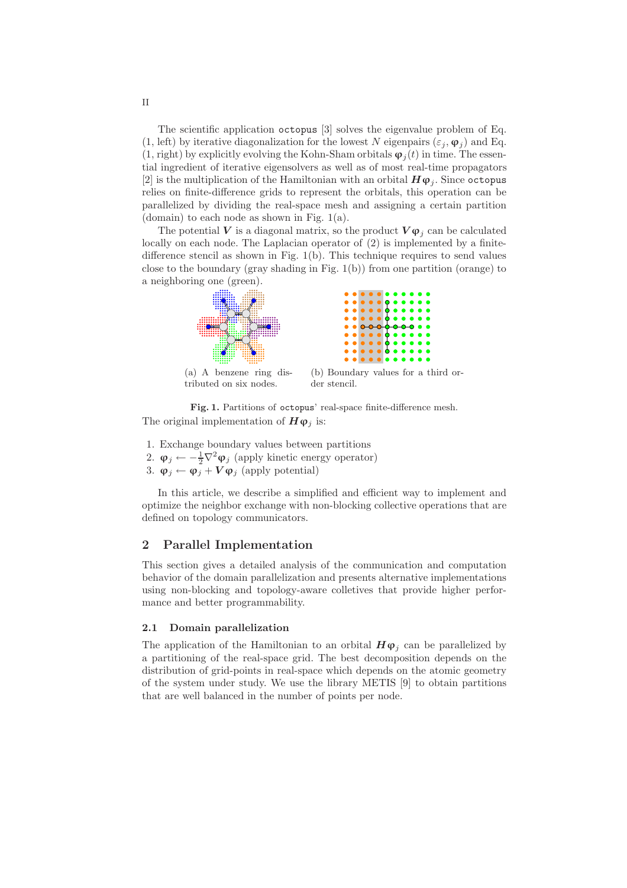The scientific application octopus [3] solves the eigenvalue problem of Eq. (1, left) by iterative diagonalization for the lowest N eigenpairs ( $\varepsilon_j$ ,  $\varphi_j$ ) and Eq. (1, right) by explicitly evolving the Kohn-Sham orbitals  $\varphi_i(t)$  in time. The essential ingredient of iterative eigensolvers as well as of most real-time propagators [2] is the multiplication of the Hamiltonian with an orbital  $H\varphi_i$ . Since octopus relies on finite-difference grids to represent the orbitals, this operation can be parallelized by dividing the real-space mesh and assigning a certain partition (domain) to each node as shown in Fig. 1(a).

The potential V is a diagonal matrix, so the product  $V\varphi_i$  can be calculated locally on each node. The Laplacian operator of (2) is implemented by a finitedifference stencil as shown in Fig. 1(b). This technique requires to send values close to the boundary (gray shading in Fig. 1(b)) from one partition (orange) to a neighboring one (green).







(b) Boundary values for a third order stencil.

Fig. 1. Partitions of octopus' real-space finite-difference mesh. The original implementation of  $H\varphi_i$  is:

- 1. Exchange boundary values between partitions
- 2.  $\varphi_j \leftarrow -\frac{1}{2} \nabla^2 \varphi_j$  (apply kinetic energy operator)
- 3.  $\varphi_j \leftarrow \varphi_j + V \varphi_j$  (apply potential)

In this article, we describe a simplified and efficient way to implement and optimize the neighbor exchange with non-blocking collective operations that are defined on topology communicators.

## 2 Parallel Implementation

This section gives a detailed analysis of the communication and computation behavior of the domain parallelization and presents alternative implementations using non-blocking and topology-aware colletives that provide higher performance and better programmability.

## 2.1 Domain parallelization

The application of the Hamiltonian to an orbital  $H\varphi_i$  can be parallelized by a partitioning of the real-space grid. The best decomposition depends on the distribution of grid-points in real-space which depends on the atomic geometry of the system under study. We use the library METIS [9] to obtain partitions that are well balanced in the number of points per node.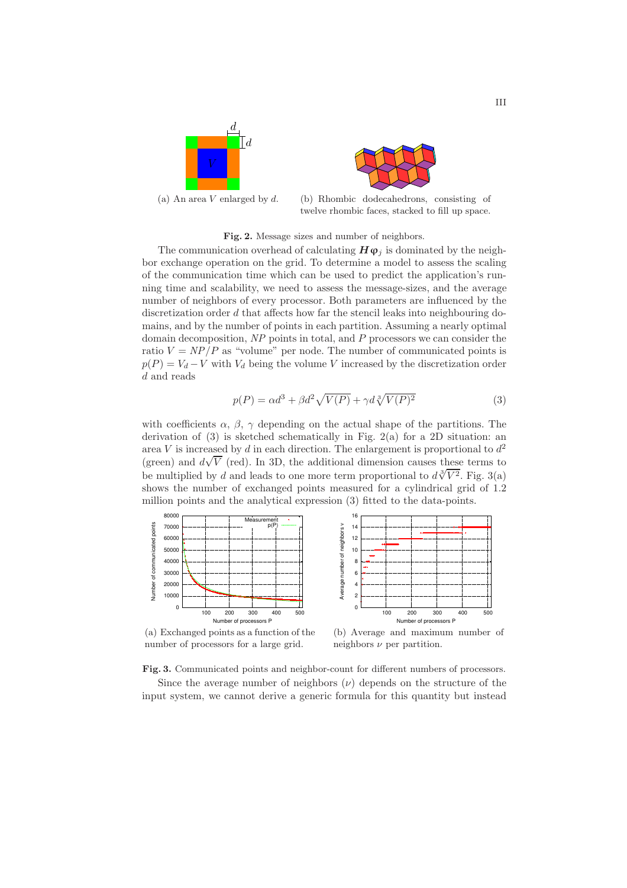



(a) An area V enlarged by  $d.$  (b) Rhombic dodecahedrons, consisting of twelve rhombic faces, stacked to fill up space.

#### Fig. 2. Message sizes and number of neighbors.

The communication overhead of calculating  $H\varphi_i$  is dominated by the neighbor exchange operation on the grid. To determine a model to assess the scaling of the communication time which can be used to predict the application's running time and scalability, we need to assess the message-sizes, and the average number of neighbors of every processor. Both parameters are influenced by the discretization order d that affects how far the stencil leaks into neighbouring domains, and by the number of points in each partition. Assuming a nearly optimal domain decomposition,  $NP$  points in total, and  $P$  processors we can consider the ratio  $V = NP/P$  as "volume" per node. The number of communicated points is  $p(P) = V_d - V$  with  $V_d$  being the volume V increased by the discretization order d and reads

$$
p(P) = \alpha d^3 + \beta d^2 \sqrt{V(P)} + \gamma d \sqrt[3]{V(P)^2}
$$
\n(3)

with coefficients  $\alpha$ ,  $\beta$ ,  $\gamma$  depending on the actual shape of the partitions. The derivation of (3) is sketched schematically in Fig. 2(a) for a 2D situation: an area V is increased by d in each direction. The enlargement is proportional to  $d^2$ (green) and  $d\sqrt{V}$  (red). In 3D, the additional dimension causes these terms to be multiplied by d and leads to one more term proportional to  $d\sqrt[3]{V^2}$ . Fig. 3(a) shows the number of exchanged points measured for a cylindrical grid of 1.2 million points and the analytical expression (3) fitted to the data-points.





(a) Exchanged points as a function of the number of processors for a large grid.

(b) Average and maximum number of neighbors  $\nu$  per partition.

Fig. 3. Communicated points and neighbor-count for different numbers of processors.

Since the average number of neighbors  $(\nu)$  depends on the structure of the input system, we cannot derive a generic formula for this quantity but instead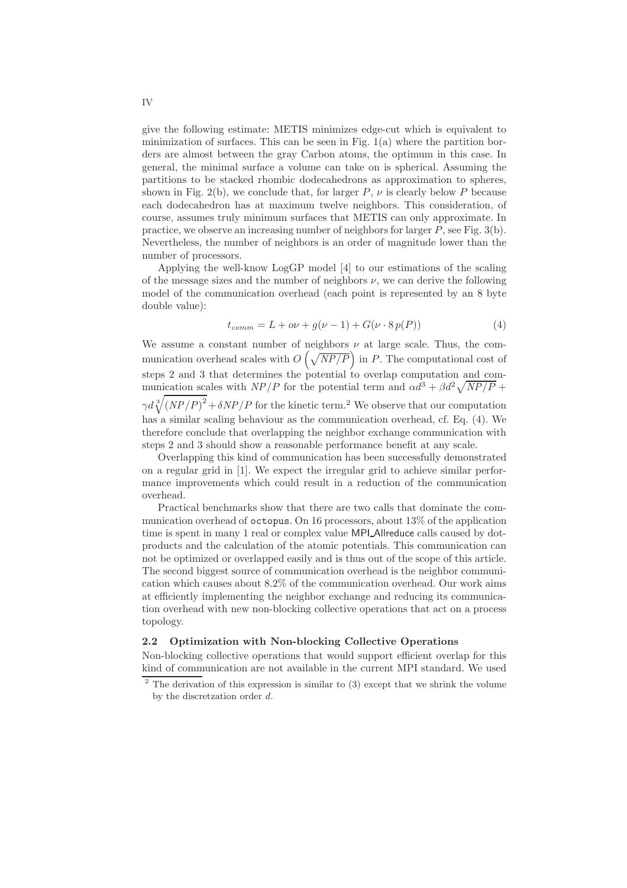give the following estimate: METIS minimizes edge-cut which is equivalent to minimization of surfaces. This can be seen in Fig.  $1(a)$  where the partition borders are almost between the gray Carbon atoms, the optimum in this case. In general, the minimal surface a volume can take on is spherical. Assuming the partitions to be stacked rhombic dodecahedrons as approximation to spheres, shown in Fig. 2(b), we conclude that, for larger P,  $\nu$  is clearly below P because each dodecahedron has at maximum twelve neighbors. This consideration, of course, assumes truly minimum surfaces that METIS can only approximate. In practice, we observe an increasing number of neighbors for larger  $P$ , see Fig. 3(b). Nevertheless, the number of neighbors is an order of magnitude lower than the number of processors.

Applying the well-know LogGP model [4] to our estimations of the scaling of the message sizes and the number of neighbors  $\nu$ , we can derive the following model of the communication overhead (each point is represented by an 8 byte double value):

$$
t_{comm} = L + o\nu + g(\nu - 1) + G(\nu \cdot 8 \, p(P)) \tag{4}
$$

We assume a constant number of neighbors  $\nu$  at large scale. Thus, the communication overhead scales with  $O(\sqrt{NP/P})$  in P. The computational cost of steps 2 and 3 that determines the potential to overlap computation and communication scales with  $NP/P$  for the potential term and  $\alpha d^3 + \beta d^2 \sqrt{NP/P}$  +  $\gamma d \sqrt[3]{(NP/P)^2} + \delta NP/P$  for the kinetic term.<sup>2</sup> We observe that our computation has a similar scaling behaviour as the communication overhead, cf. Eq. (4). We therefore conclude that overlapping the neighbor exchange communication with steps 2 and 3 should show a reasonable performance benefit at any scale.

Overlapping this kind of communication has been successfully demonstrated on a regular grid in [1]. We expect the irregular grid to achieve similar performance improvements which could result in a reduction of the communication overhead.

Practical benchmarks show that there are two calls that dominate the communication overhead of octopus. On 16 processors, about 13% of the application time is spent in many 1 real or complex value MPI Allreduce calls caused by dotproducts and the calculation of the atomic potentials. This communication can not be optimized or overlapped easily and is thus out of the scope of this article. The second biggest source of communication overhead is the neighbor communication which causes about 8.2% of the communication overhead. Our work aims at efficiently implementing the neighbor exchange and reducing its communication overhead with new non-blocking collective operations that act on a process topology.

### 2.2 Optimization with Non-blocking Collective Operations

Non-blocking collective operations that would support efficient overlap for this kind of communication are not available in the current MPI standard. We used

 $2$  The derivation of this expression is similar to (3) except that we shrink the volume by the discretzation order d.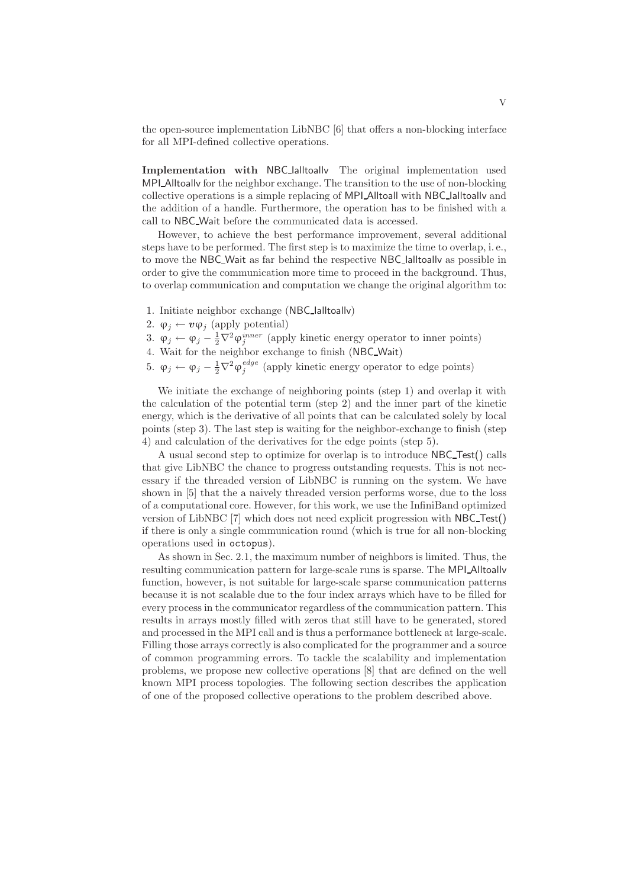the open-source implementation LibNBC [6] that offers a non-blocking interface for all MPI-defined collective operations.

Implementation with NBC lalltoally The original implementation used MPI Alltoally for the neighbor exchange. The transition to the use of non-blocking collective operations is a simple replacing of MPI Alltoall with NBC Ialltoallv and the addition of a handle. Furthermore, the operation has to be finished with a call to NBC Wait before the communicated data is accessed.

However, to achieve the best performance improvement, several additional steps have to be performed. The first step is to maximize the time to overlap, i. e., to move the NBC Wait as far behind the respective NBC Ialltoallv as possible in order to give the communication more time to proceed in the background. Thus, to overlap communication and computation we change the original algorithm to:

- 1. Initiate neighbor exchange (NBC Ialltoallv)
- 2.  $\varphi_i \leftarrow v \varphi_i$  (apply potential)
- 3.  $\varphi_j \leftarrow \varphi_j \frac{1}{2} \nabla^2 \varphi_j^{inner}$  (apply kinetic energy operator to inner points)
- 4. Wait for the neighbor exchange to finish (NBC Wait)
- 5.  $\varphi_j \leftarrow \varphi_j \frac{1}{2} \nabla^2 \varphi_j^{edge}$  (apply kinetic energy operator to edge points)

We initiate the exchange of neighboring points (step 1) and overlap it with the calculation of the potential term (step 2) and the inner part of the kinetic energy, which is the derivative of all points that can be calculated solely by local points (step 3). The last step is waiting for the neighbor-exchange to finish (step 4) and calculation of the derivatives for the edge points (step 5).

A usual second step to optimize for overlap is to introduce NBC Test() calls that give LibNBC the chance to progress outstanding requests. This is not necessary if the threaded version of LibNBC is running on the system. We have shown in [5] that the a naively threaded version performs worse, due to the loss of a computational core. However, for this work, we use the InfiniBand optimized version of LibNBC [7] which does not need explicit progression with NBC Test() if there is only a single communication round (which is true for all non-blocking operations used in octopus).

As shown in Sec. 2.1, the maximum number of neighbors is limited. Thus, the resulting communication pattern for large-scale runs is sparse. The MPI\_Alltoallv function, however, is not suitable for large-scale sparse communication patterns because it is not scalable due to the four index arrays which have to be filled for every process in the communicator regardless of the communication pattern. This results in arrays mostly filled with zeros that still have to be generated, stored and processed in the MPI call and is thus a performance bottleneck at large-scale. Filling those arrays correctly is also complicated for the programmer and a source of common programming errors. To tackle the scalability and implementation problems, we propose new collective operations [8] that are defined on the well known MPI process topologies. The following section describes the application of one of the proposed collective operations to the problem described above.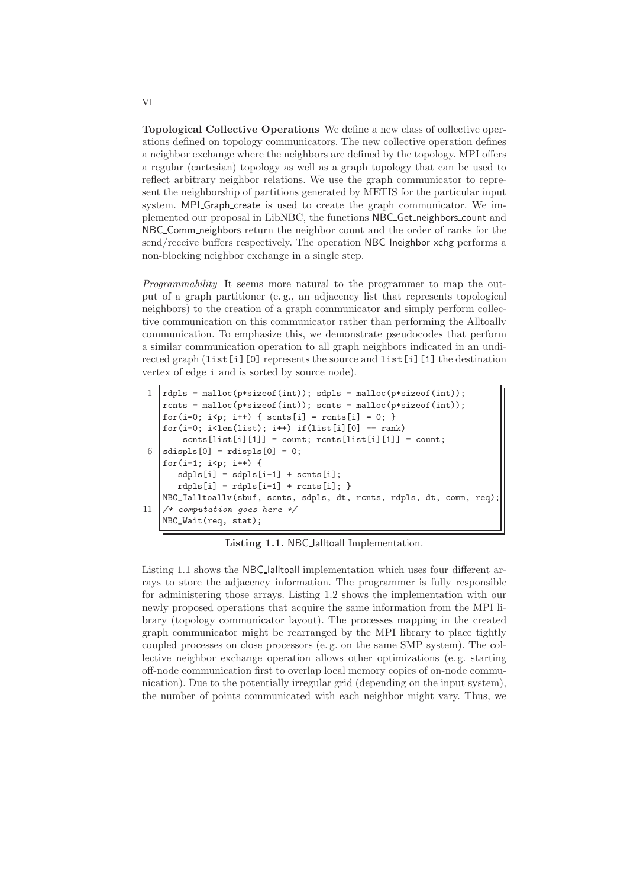Topological Collective Operations We define a new class of collective operations defined on topology communicators. The new collective operation defines a neighbor exchange where the neighbors are defined by the topology. MPI offers a regular (cartesian) topology as well as a graph topology that can be used to reflect arbitrary neighbor relations. We use the graph communicator to represent the neighborship of partitions generated by METIS for the particular input system. MPI Graph create is used to create the graph communicator. We implemented our proposal in LibNBC, the functions NBC Get neighbors count and NBC Comm neighbors return the neighbor count and the order of ranks for the send/receive buffers respectively. The operation NBC\_Ineighbor\_xchg performs a non-blocking neighbor exchange in a single step.

Programmability It seems more natural to the programmer to map the output of a graph partitioner (e. g., an adjacency list that represents topological neighbors) to the creation of a graph communicator and simply perform collective communication on this communicator rather than performing the Alltoallv communication. To emphasize this, we demonstrate pseudocodes that perform a similar communication operation to all graph neighbors indicated in an undirected graph (list[i][0] represents the source and list[i][1] the destination vertex of edge i and is sorted by source node).

```
rdpls = \text{malloc}(p * sizeof(int)); sdpls = \text{malloc}(p * sizeof(int));rcnts = malloc(p*sizeof(int)); scnts = malloc(p*sizeof(int));
    for(i=0; i<p; i++) { scnts[i] = rcnts[i] = 0; }
    for(i=0; i<len(list); i++) if(list[i][0] == rank)
        sents[i][i][1] = count; rents[i][i][1] = count;6 s sdispls [0] = rdispls [0] = 0;
    for(i=1; i < p; i++) {
       {\tt sdpls[i]} = {\tt sdpls[i-1]} + {\tt scnts[i]};rdpls[i] = rdpls[i-1] + rcnts[i];NBC_Ialltoallv(sbuf, scnts, sdpls, dt, rcnts, rdpls, dt, comm, req);
11 /* computation goes here */
    NBC_Wait(req, stat);
```
Listing 1.1. NBC lalltoall Implementation.

Listing 1.1 shows the NBC Ialltoall implementation which uses four different arrays to store the adjacency information. The programmer is fully responsible for administering those arrays. Listing 1.2 shows the implementation with our newly proposed operations that acquire the same information from the MPI library (topology communicator layout). The processes mapping in the created graph communicator might be rearranged by the MPI library to place tightly coupled processes on close processors (e. g. on the same SMP system). The collective neighbor exchange operation allows other optimizations (e. g. starting off-node communication first to overlap local memory copies of on-node communication). Due to the potentially irregular grid (depending on the input system), the number of points communicated with each neighbor might vary. Thus, we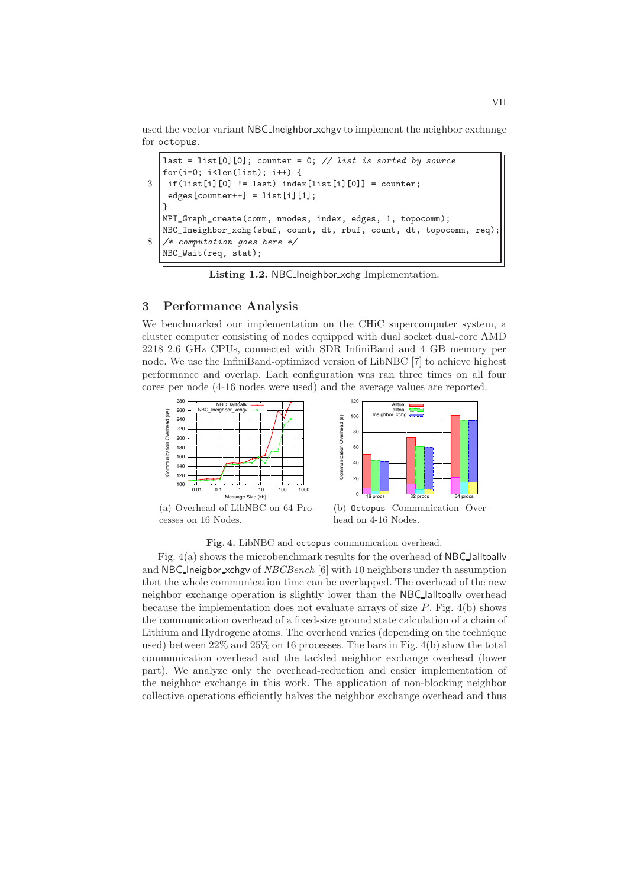used the vector variant NBC Ineighbor xchgv to implement the neighbor exchange for octopus.

```
last = list[0][0]; counter = 0; // list is sorted by source
   for(i=0; i<1en(list); i++) {
3 \mid \text{if}(\text{list}[i][0] \mid = \text{last}) \text{ index}[\text{list}[i][0]] = \text{counter};edges[counter++] = list[i][1];}
   MPI_Graph_create(comm, nnodes, index, edges, 1, topocomm);
   NBC_Ineighbor_xchg(sbuf, count, dt, rbuf, count, dt, topocomm, req);
8 /* computation goes here */
   NBC_Wait(req, stat);
```
Listing 1.2. NBC Ineighbor xchg Implementation.

## 3 Performance Analysis

We benchmarked our implementation on the CHiC supercomputer system, a cluster computer consisting of nodes equipped with dual socket dual-core AMD 2218 2.6 GHz CPUs, connected with SDR InfiniBand and 4 GB memory per node. We use the InfiniBand-optimized version of LibNBC [7] to achieve highest performance and overlap. Each configuration was ran three times on all four cores per node (4-16 nodes were used) and the average values are reported.





(a) Overhead of LibNBC on 64 Processes on 16 Nodes.

(b) Octopus Communication Overhead on 4-16 Nodes.

Fig. 4. LibNBC and octopus communication overhead.

Fig. 4(a) shows the microbenchmark results for the overhead of NBC Ialltoallv and NBC Ineigbor xchgv of NBCBench [6] with 10 neighbors under th assumption that the whole communication time can be overlapped. The overhead of the new neighbor exchange operation is slightly lower than the NBC Ialltoallv overhead because the implementation does not evaluate arrays of size  $P$ . Fig. 4(b) shows the communication overhead of a fixed-size ground state calculation of a chain of Lithium and Hydrogene atoms. The overhead varies (depending on the technique used) between 22% and 25% on 16 processes. The bars in Fig. 4(b) show the total communication overhead and the tackled neighbor exchange overhead (lower part). We analyze only the overhead-reduction and easier implementation of the neighbor exchange in this work. The application of non-blocking neighbor collective operations efficiently halves the neighbor exchange overhead and thus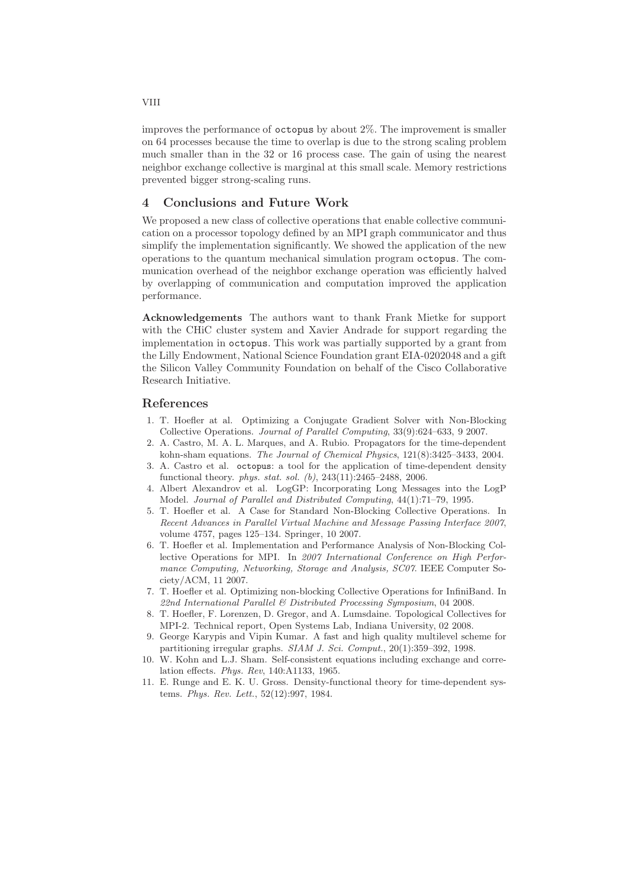improves the performance of octopus by about 2%. The improvement is smaller on 64 processes because the time to overlap is due to the strong scaling problem much smaller than in the 32 or 16 process case. The gain of using the nearest neighbor exchange collective is marginal at this small scale. Memory restrictions prevented bigger strong-scaling runs.

## 4 Conclusions and Future Work

We proposed a new class of collective operations that enable collective communication on a processor topology defined by an MPI graph communicator and thus simplify the implementation significantly. We showed the application of the new operations to the quantum mechanical simulation program octopus. The communication overhead of the neighbor exchange operation was efficiently halved by overlapping of communication and computation improved the application performance.

Acknowledgements The authors want to thank Frank Mietke for support with the CHiC cluster system and Xavier Andrade for support regarding the implementation in octopus. This work was partially supported by a grant from the Lilly Endowment, National Science Foundation grant EIA-0202048 and a gift the Silicon Valley Community Foundation on behalf of the Cisco Collaborative Research Initiative.

#### References

- 1. T. Hoefler at al. Optimizing a Conjugate Gradient Solver with Non-Blocking Collective Operations. Journal of Parallel Computing, 33(9):624–633, 9 2007.
- 2. A. Castro, M. A. L. Marques, and A. Rubio. Propagators for the time-dependent kohn-sham equations. The Journal of Chemical Physics, 121(8):3425–3433, 2004.
- 3. A. Castro et al. octopus: a tool for the application of time-dependent density functional theory. phys. stat. sol. (b), 243(11):2465–2488, 2006.
- 4. Albert Alexandrov et al. LogGP: Incorporating Long Messages into the LogP Model. Journal of Parallel and Distributed Computing, 44(1):71–79, 1995.
- 5. T. Hoefler et al. A Case for Standard Non-Blocking Collective Operations. In Recent Advances in Parallel Virtual Machine and Message Passing Interface 2007, volume 4757, pages 125–134. Springer, 10 2007.
- 6. T. Hoefler et al. Implementation and Performance Analysis of Non-Blocking Collective Operations for MPI. In 2007 International Conference on High Performance Computing, Networking, Storage and Analysis, SC07. IEEE Computer Society/ACM, 11 2007.
- 7. T. Hoefler et al. Optimizing non-blocking Collective Operations for InfiniBand. In 22nd International Parallel & Distributed Processing Symposium, 04 2008.
- 8. T. Hoefler, F. Lorenzen, D. Gregor, and A. Lumsdaine. Topological Collectives for MPI-2. Technical report, Open Systems Lab, Indiana University, 02 2008.
- 9. George Karypis and Vipin Kumar. A fast and high quality multilevel scheme for partitioning irregular graphs. SIAM J. Sci. Comput., 20(1):359–392, 1998.
- 10. W. Kohn and L.J. Sham. Self-consistent equations including exchange and correlation effects. Phys. Rev, 140:A1133, 1965.
- 11. E. Runge and E. K. U. Gross. Density-functional theory for time-dependent systems. Phys. Rev. Lett., 52(12):997, 1984.

VIII